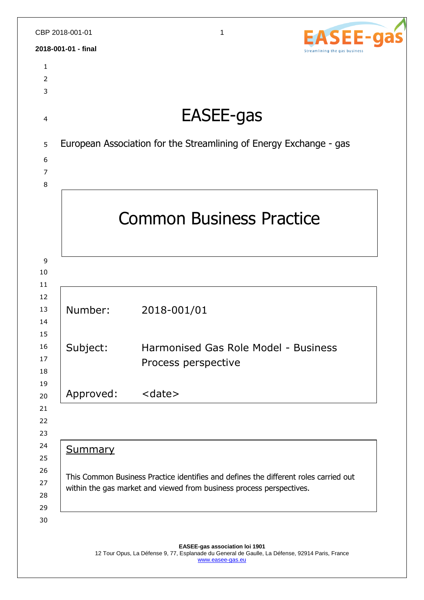| 2018-001-01 - final<br>Streamlining the gas business<br>$\mathbf{1}$<br>$\overline{2}$<br>3<br>EASEE-gas<br>$\overline{4}$<br>European Association for the Streamlining of Energy Exchange - gas<br>5<br>6<br>7<br>8<br><b>Common Business Practice</b><br>9<br>10<br>11<br>12<br>Number:<br>2018-001/01<br>13<br>14<br>15<br>16<br>Harmonised Gas Role Model - Business<br>Subject:<br>17<br>Process perspective<br>18<br>19<br><date><br/>Approved:<br/>20<br/>21<br/>22<br/>23<br/>24<br/><b>Summary</b><br/>25<br/>26<br/>This Common Business Practice identifies and defines the different roles carried out<br/>27<br/>within the gas market and viewed from business process perspectives.<br/>28<br/>29</date> |    | CBP 2018-001-01 | 1<br>EE-a |  |
|-------------------------------------------------------------------------------------------------------------------------------------------------------------------------------------------------------------------------------------------------------------------------------------------------------------------------------------------------------------------------------------------------------------------------------------------------------------------------------------------------------------------------------------------------------------------------------------------------------------------------------------------------------------------------------------------------------------------------|----|-----------------|-----------|--|
|                                                                                                                                                                                                                                                                                                                                                                                                                                                                                                                                                                                                                                                                                                                         |    |                 |           |  |
|                                                                                                                                                                                                                                                                                                                                                                                                                                                                                                                                                                                                                                                                                                                         |    |                 |           |  |
|                                                                                                                                                                                                                                                                                                                                                                                                                                                                                                                                                                                                                                                                                                                         |    |                 |           |  |
|                                                                                                                                                                                                                                                                                                                                                                                                                                                                                                                                                                                                                                                                                                                         |    |                 |           |  |
|                                                                                                                                                                                                                                                                                                                                                                                                                                                                                                                                                                                                                                                                                                                         |    |                 |           |  |
|                                                                                                                                                                                                                                                                                                                                                                                                                                                                                                                                                                                                                                                                                                                         |    |                 |           |  |
|                                                                                                                                                                                                                                                                                                                                                                                                                                                                                                                                                                                                                                                                                                                         |    |                 |           |  |
|                                                                                                                                                                                                                                                                                                                                                                                                                                                                                                                                                                                                                                                                                                                         |    |                 |           |  |
|                                                                                                                                                                                                                                                                                                                                                                                                                                                                                                                                                                                                                                                                                                                         |    |                 |           |  |
|                                                                                                                                                                                                                                                                                                                                                                                                                                                                                                                                                                                                                                                                                                                         |    |                 |           |  |
|                                                                                                                                                                                                                                                                                                                                                                                                                                                                                                                                                                                                                                                                                                                         |    |                 |           |  |
|                                                                                                                                                                                                                                                                                                                                                                                                                                                                                                                                                                                                                                                                                                                         | 30 |                 |           |  |

**EASEE-gas association loi 1901** 12 Tour Opus, La Défense 9, 77, Esplanade du General de Gaulle, La Défense, 92914 Paris, France [www.easee-gas.eu](http://www.easee-gas.eu/)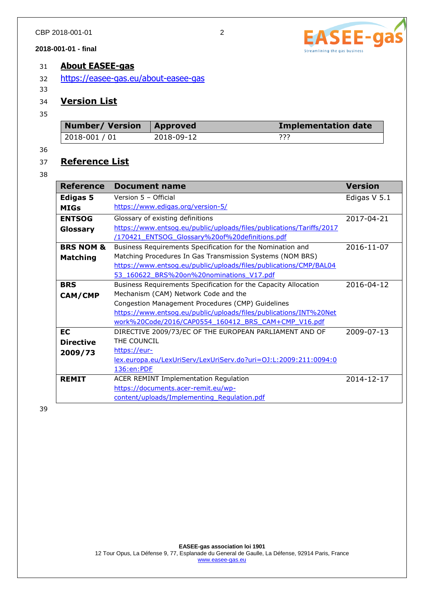# 31 **About EASEE-gas**

- 32 <https://easee-gas.eu/about-easee-gas>
- 33

# 34 **Version List**

35

| Number/Version   Approved |            | <b>Implementation date</b> |
|---------------------------|------------|----------------------------|
| 2018-001 / 01             | 2018-09-12 | つつつ<br>.                   |

36

# 37 **Reference List**

38

| <b>Reference</b>     | <b>Document name</b>                                                 | <b>Version</b> |
|----------------------|----------------------------------------------------------------------|----------------|
| <b>Edigas 5</b>      | Version 5 - Official                                                 | Edigas V 5.1   |
| <b>MIGs</b>          | https://www.edigas.org/version-5/                                    |                |
| <b>ENTSOG</b>        | Glossary of existing definitions                                     | 2017-04-21     |
| Glossary             | https://www.entsog.eu/public/uploads/files/publications/Tariffs/2017 |                |
|                      | /170421 ENTSOG Glossary%20of%20definitions.pdf                       |                |
| <b>BRS NOM &amp;</b> | Business Requirements Specification for the Nomination and           | 2016-11-07     |
| <b>Matching</b>      | Matching Procedures In Gas Transmission Systems (NOM BRS)            |                |
|                      | https://www.entsoq.eu/public/uploads/files/publications/CMP/BAL04    |                |
|                      | 53 160622 BRS%20on%20nominations V17.pdf                             |                |
| <b>BRS</b>           | Business Requirements Specification for the Capacity Allocation      | 2016-04-12     |
| <b>CAM/CMP</b>       | Mechanism (CAM) Network Code and the                                 |                |
|                      | Congestion Management Procedures (CMP) Guidelines                    |                |
|                      | https://www.entsog.eu/public/uploads/files/publications/INT%20Net    |                |
|                      | work%20Code/2016/CAP0554 160412 BRS CAM+CMP V16.pdf                  |                |
| <b>EC</b>            | DIRECTIVE 2009/73/EC OF THE EUROPEAN PARLIAMENT AND OF               | 2009-07-13     |
| <b>Directive</b>     | THE COUNCIL                                                          |                |
| 2009/73              | https://eur-                                                         |                |
|                      | lex.europa.eu/LexUriServ/LexUriServ.do?uri=0J:L:2009:211:0094:0      |                |
|                      | 136:en:PDF                                                           |                |
| <b>REMIT</b>         | ACER REMINT Implementation Regulation                                | 2014-12-17     |
|                      | https://documents.acer-remit.eu/wp-                                  |                |
|                      | content/uploads/Implementing Requlation.pdf                          |                |

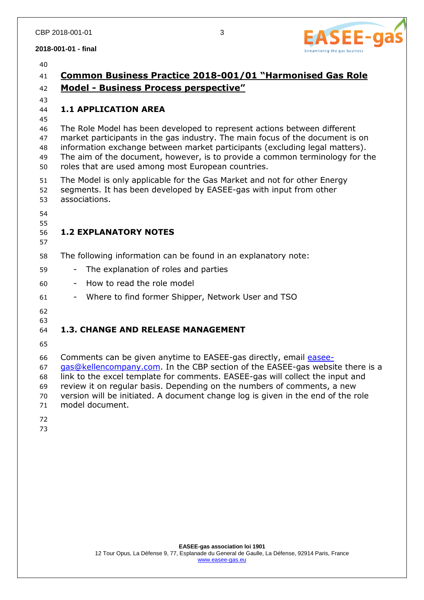

| 40                               |                                                                                                                                                                                                                                                                                                                                                                                                                       |
|----------------------------------|-----------------------------------------------------------------------------------------------------------------------------------------------------------------------------------------------------------------------------------------------------------------------------------------------------------------------------------------------------------------------------------------------------------------------|
| 41                               | Common Business Practice 2018-001/01 "Harmonised Gas Role                                                                                                                                                                                                                                                                                                                                                             |
| 42                               | <b>Model - Business Process perspective"</b>                                                                                                                                                                                                                                                                                                                                                                          |
| 43<br>44<br>45                   | <b>1.1 APPLICATION AREA</b>                                                                                                                                                                                                                                                                                                                                                                                           |
| 46<br>47<br>48<br>49<br>50       | The Role Model has been developed to represent actions between different<br>market participants in the gas industry. The main focus of the document is on<br>information exchange between market participants (excluding legal matters).<br>The aim of the document, however, is to provide a common terminology for the<br>roles that are used among most European countries.                                        |
| 51<br>52<br>53                   | The Model is only applicable for the Gas Market and not for other Energy<br>segments. It has been developed by EASEE-gas with input from other<br>associations.                                                                                                                                                                                                                                                       |
| 54<br>55<br>56<br>57             | <b>1.2 EXPLANATORY NOTES</b>                                                                                                                                                                                                                                                                                                                                                                                          |
| 58                               | The following information can be found in an explanatory note:                                                                                                                                                                                                                                                                                                                                                        |
| 59                               | The explanation of roles and parties                                                                                                                                                                                                                                                                                                                                                                                  |
| 60                               | How to read the role model<br>$\blacksquare$                                                                                                                                                                                                                                                                                                                                                                          |
| 61                               | Where to find former Shipper, Network User and TSO                                                                                                                                                                                                                                                                                                                                                                    |
| 62<br>63<br>64                   | <b>1.3. CHANGE AND RELEASE MANAGEMENT</b>                                                                                                                                                                                                                                                                                                                                                                             |
| 65                               |                                                                                                                                                                                                                                                                                                                                                                                                                       |
| 66<br>67<br>68<br>69<br>70<br>71 | Comments can be given anytime to EASEE-gas directly, email easee-<br>gas@kellencompany.com. In the CBP section of the EASEE-gas website there is a<br>link to the excel template for comments. EASEE-gas will collect the input and<br>review it on regular basis. Depending on the numbers of comments, a new<br>version will be initiated. A document change log is given in the end of the role<br>model document. |
| 72<br>73                         |                                                                                                                                                                                                                                                                                                                                                                                                                       |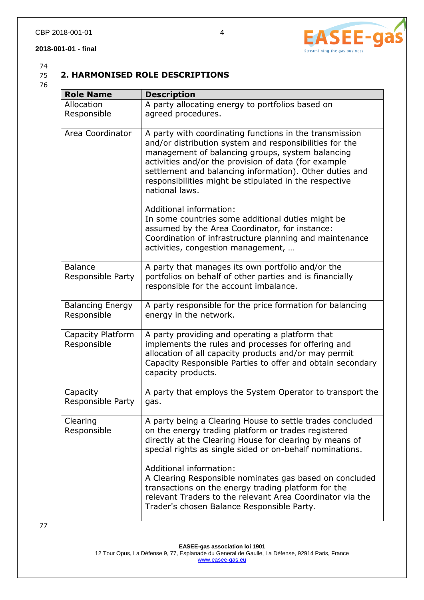## **2. HARMONISED ROLE DESCRIPTIONS**

76

| <b>Role Name</b>                       | <b>Description</b>                                                                                                                                                                                                                                                                                                                                                    |
|----------------------------------------|-----------------------------------------------------------------------------------------------------------------------------------------------------------------------------------------------------------------------------------------------------------------------------------------------------------------------------------------------------------------------|
| Allocation<br>Responsible              | A party allocating energy to portfolios based on<br>agreed procedures.                                                                                                                                                                                                                                                                                                |
|                                        |                                                                                                                                                                                                                                                                                                                                                                       |
| Area Coordinator                       | A party with coordinating functions in the transmission<br>and/or distribution system and responsibilities for the<br>management of balancing groups, system balancing<br>activities and/or the provision of data (for example<br>settlement and balancing information). Other duties and<br>responsibilities might be stipulated in the respective<br>national laws. |
|                                        | Additional information:<br>In some countries some additional duties might be<br>assumed by the Area Coordinator, for instance:<br>Coordination of infrastructure planning and maintenance<br>activities, congestion management,                                                                                                                                       |
| <b>Balance</b><br>Responsible Party    | A party that manages its own portfolio and/or the<br>portfolios on behalf of other parties and is financially<br>responsible for the account imbalance.                                                                                                                                                                                                               |
| <b>Balancing Energy</b><br>Responsible | A party responsible for the price formation for balancing<br>energy in the network.                                                                                                                                                                                                                                                                                   |
| Capacity Platform<br>Responsible       | A party providing and operating a platform that<br>implements the rules and processes for offering and<br>allocation of all capacity products and/or may permit<br>Capacity Responsible Parties to offer and obtain secondary<br>capacity products.                                                                                                                   |
| Capacity<br>Responsible Party          | A party that employs the System Operator to transport the<br>gas.                                                                                                                                                                                                                                                                                                     |
| Clearing<br>Responsible                | A party being a Clearing House to settle trades concluded<br>on the energy trading platform or trades registered<br>directly at the Clearing House for clearing by means of<br>special rights as single sided or on-behalf nominations.                                                                                                                               |
|                                        | Additional information:<br>A Clearing Responsible nominates gas based on concluded<br>transactions on the energy trading platform for the<br>relevant Traders to the relevant Area Coordinator via the<br>Trader's chosen Balance Responsible Party.                                                                                                                  |

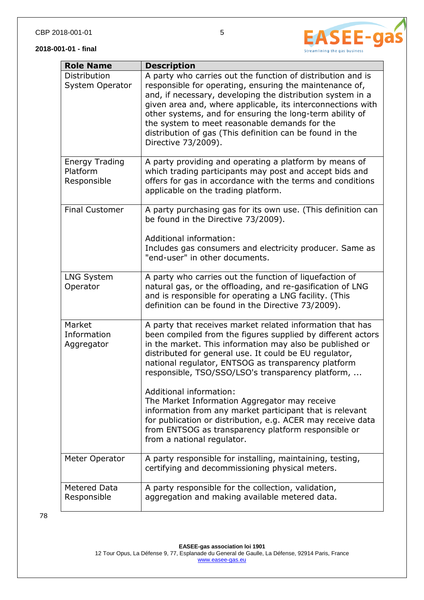



| <b>Role Name</b>                                 | <b>Description</b>                                                                                                                                                                                                                                                                                                                                                                                                                                  |
|--------------------------------------------------|-----------------------------------------------------------------------------------------------------------------------------------------------------------------------------------------------------------------------------------------------------------------------------------------------------------------------------------------------------------------------------------------------------------------------------------------------------|
| Distribution<br><b>System Operator</b>           | A party who carries out the function of distribution and is<br>responsible for operating, ensuring the maintenance of,<br>and, if necessary, developing the distribution system in a<br>given area and, where applicable, its interconnections with<br>other systems, and for ensuring the long-term ability of<br>the system to meet reasonable demands for the<br>distribution of gas (This definition can be found in the<br>Directive 73/2009). |
| <b>Energy Trading</b><br>Platform<br>Responsible | A party providing and operating a platform by means of<br>which trading participants may post and accept bids and<br>offers for gas in accordance with the terms and conditions<br>applicable on the trading platform.                                                                                                                                                                                                                              |
| <b>Final Customer</b>                            | A party purchasing gas for its own use. (This definition can<br>be found in the Directive 73/2009).<br>Additional information:<br>Includes gas consumers and electricity producer. Same as<br>"end-user" in other documents.                                                                                                                                                                                                                        |
| <b>LNG System</b><br>Operator                    | A party who carries out the function of liquefaction of<br>natural gas, or the offloading, and re-gasification of LNG<br>and is responsible for operating a LNG facility. (This<br>definition can be found in the Directive 73/2009).                                                                                                                                                                                                               |
| Market<br>Information<br>Aggregator              | A party that receives market related information that has<br>been compiled from the figures supplied by different actors<br>in the market. This information may also be published or<br>distributed for general use. It could be EU regulator,<br>national regulator, ENTSOG as transparency platform<br>responsible, TSO/SSO/LSO's transparency platform,                                                                                          |
|                                                  | Additional information:<br>The Market Information Aggregator may receive<br>information from any market participant that is relevant<br>for publication or distribution, e.g. ACER may receive data<br>from ENTSOG as transparency platform responsible or<br>from a national regulator.                                                                                                                                                            |
| Meter Operator                                   | A party responsible for installing, maintaining, testing,<br>certifying and decommissioning physical meters.                                                                                                                                                                                                                                                                                                                                        |
| <b>Metered Data</b><br>Responsible               | A party responsible for the collection, validation,<br>aggregation and making available metered data.                                                                                                                                                                                                                                                                                                                                               |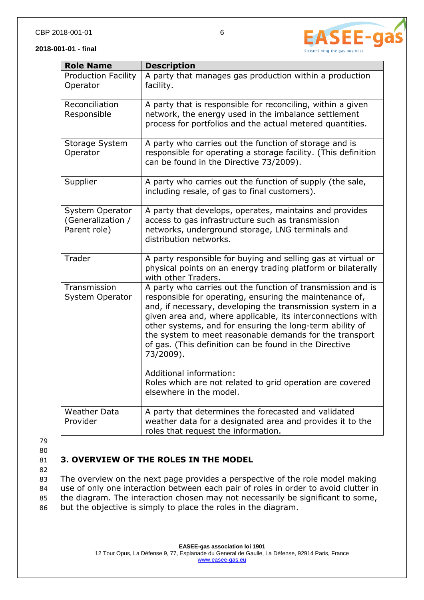**Role Name Description**

facility.

Production Facility

Operator

Reconciliation

| Responsible                                          | network, the energy used in the imbalance settlement<br>process for portfolios and the actual metered quantities.                                                                                                                                                                                                                                                                                                                                 |
|------------------------------------------------------|---------------------------------------------------------------------------------------------------------------------------------------------------------------------------------------------------------------------------------------------------------------------------------------------------------------------------------------------------------------------------------------------------------------------------------------------------|
| Storage System<br>Operator                           | A party who carries out the function of storage and is<br>responsible for operating a storage facility. (This definition<br>can be found in the Directive 73/2009).                                                                                                                                                                                                                                                                               |
| Supplier                                             | A party who carries out the function of supply (the sale,<br>including resale, of gas to final customers).                                                                                                                                                                                                                                                                                                                                        |
| System Operator<br>(Generalization /<br>Parent role) | A party that develops, operates, maintains and provides<br>access to gas infrastructure such as transmission<br>networks, underground storage, LNG terminals and<br>distribution networks.                                                                                                                                                                                                                                                        |
| Trader                                               | A party responsible for buying and selling gas at virtual or<br>physical points on an energy trading platform or bilaterally<br>with other Traders.                                                                                                                                                                                                                                                                                               |
| Transmission<br>System Operator                      | A party who carries out the function of transmission and is<br>responsible for operating, ensuring the maintenance of,<br>and, if necessary, developing the transmission system in a<br>given area and, where applicable, its interconnections with<br>other systems, and for ensuring the long-term ability of<br>the system to meet reasonable demands for the transport<br>of gas. (This definition can be found in the Directive<br>73/2009). |

79

Weather Data

Provider

80

## 81 **3. OVERVIEW OF THE ROLES IN THE MODEL**

82

 The overview on the next page provides a perspective of the role model making use of only one interaction between each pair of roles in order to avoid clutter in the diagram. The interaction chosen may not necessarily be significant to some, but the objective is simply to place the roles in the diagram.

roles that request the information.

Additional information:

elsewhere in the model.



A party that manages gas production within a production

A party that is responsible for reconciling, within a given

Roles which are not related to grid operation are covered

A party that determines the forecasted and validated weather data for a designated area and provides it to the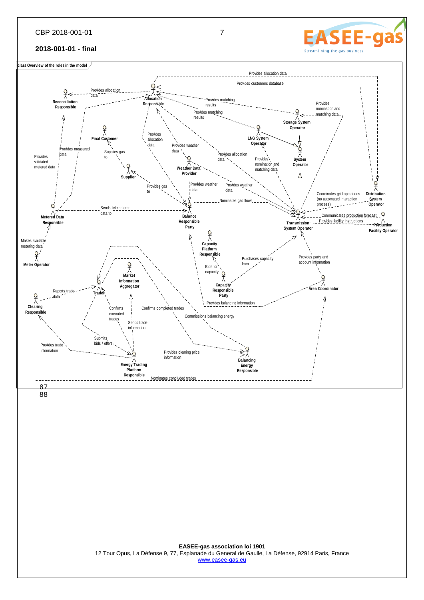#### CBP 2018-001-01 7

#### **2018-001-01 - final**

**class Overview of the roles in the model**



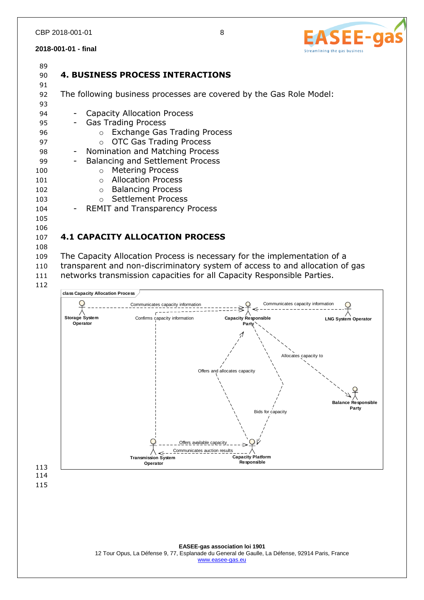

| 89<br>90 | <b>4. BUSINESS PROCESS INTERACTIONS</b>                                      |  |
|----------|------------------------------------------------------------------------------|--|
| 91<br>92 | The following business processes are covered by the Gas Role Model:          |  |
| 93       |                                                                              |  |
| 94       | <b>Capacity Allocation Process</b><br>$\blacksquare$                         |  |
| 95       | <b>Gas Trading Process</b><br>$-$                                            |  |
| 96       | o Exchange Gas Trading Process                                               |  |
| 97       | <b>OTC Gas Trading Process</b><br>$\circ$                                    |  |
| 98       | Nomination and Matching Process<br>$\sim$ $-$                                |  |
| 99       | <b>Balancing and Settlement Process</b>                                      |  |
| 100      | <b>Metering Process</b><br>$\circ$                                           |  |
| 101      | <b>Allocation Process</b><br>$\Omega$                                        |  |
| 102      | <b>Balancing Process</b><br>$\circ$                                          |  |
| 103      | <b>Settlement Process</b><br>$\circ$                                         |  |
| 104      | - REMIT and Transparency Process                                             |  |
| 105      |                                                                              |  |
| 106      |                                                                              |  |
| 107      | <b>4.1 CAPACITY ALLOCATION PROCESS</b>                                       |  |
| 108      |                                                                              |  |
| 109      | The Capacity Allocation Process is necessary for the implementation of a     |  |
| 110      | transparent and non-discriminatory system of access to and allocation of gas |  |
| 111      | networks transmission capacities for all Capacity Responsible Parties.       |  |
| 112      |                                                                              |  |

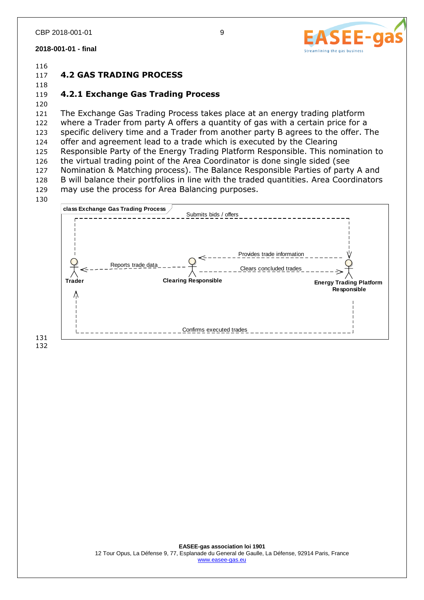

116

118

117 **4.2 GAS TRADING PROCESS**

## 119 **4.2.1 Exchange Gas Trading Process**

120

 The Exchange Gas Trading Process takes place at an energy trading platform where a Trader from party A offers a quantity of gas with a certain price for a specific delivery time and a Trader from another party B agrees to the offer. The offer and agreement lead to a trade which is executed by the Clearing Responsible Party of the Energy Trading Platform Responsible. This nomination to the virtual trading point of the Area Coordinator is done single sided (see Nomination & Matching process). The Balance Responsible Parties of party A and B will balance their portfolios in line with the traded quantities. Area Coordinators may use the process for Area Balancing purposes.



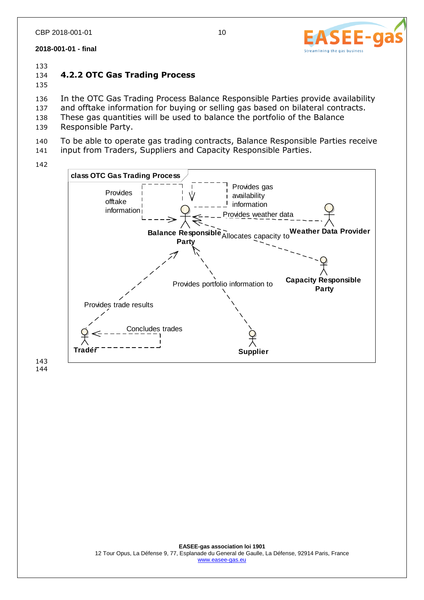

## 134 **4.2.2 OTC Gas Trading Process**

135

136 In the OTC Gas Trading Process Balance Responsible Parties provide availability 137 and offtake information for buying or selling gas based on bilateral contracts.

- 138 These gas quantities will be used to balance the portfolio of the Balance
- 139 Responsible Party.
- 140 To be able to operate gas trading contracts, Balance Responsible Parties receive

141 input from Traders, Suppliers and Capacity Responsible Parties.

142

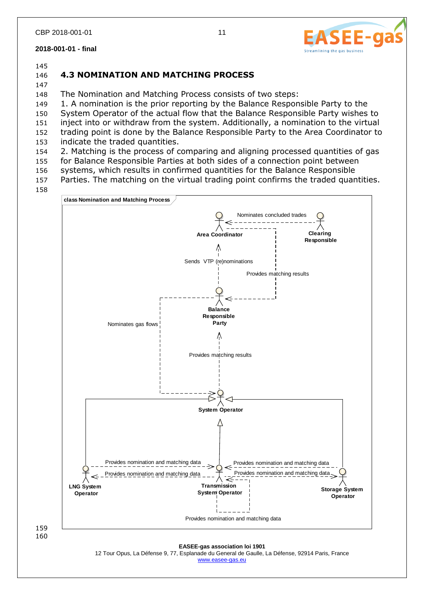#### 145

147

# 146 **4.3 NOMINATION AND MATCHING PROCESS**

148 The Nomination and Matching Process consists of two steps:

149 1. A nomination is the prior reporting by the Balance Responsible Party to the System Operator of the actual flow that the Balance Responsible Party wishes to inject into or withdraw from the system. Additionally, a nomination to the virtual trading point is done by the Balance Responsible Party to the Area Coordinator to

153 indicate the traded quantities.

154 2. Matching is the process of comparing and aligning processed quantities of gas 155 for Balance Responsible Parties at both sides of a connection point between

156 systems, which results in confirmed quantities for the Balance Responsible

157 Parties. The matching on the virtual trading point confirms the traded quantities.

158



159 160

> **EASEE-gas association loi 1901** 12 Tour Opus, La Défense 9, 77, Esplanade du General de Gaulle, La Défense, 92914 Paris, France [www.easee-gas.eu](http://www.easee-gas.eu/)

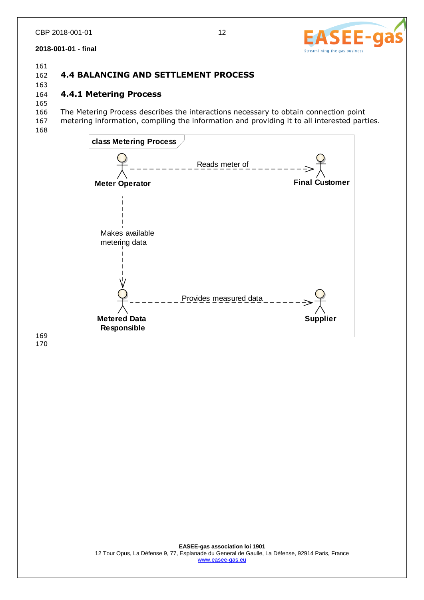

161

163

# 162 **4.4 BALANCING AND SETTLEMENT PROCESS**

# 164 **4.4.1 Metering Process**

165 166 The Metering Process describes the interactions necessary to obtain connection point

167 metering information, compiling the information and providing it to all interested parties.

168

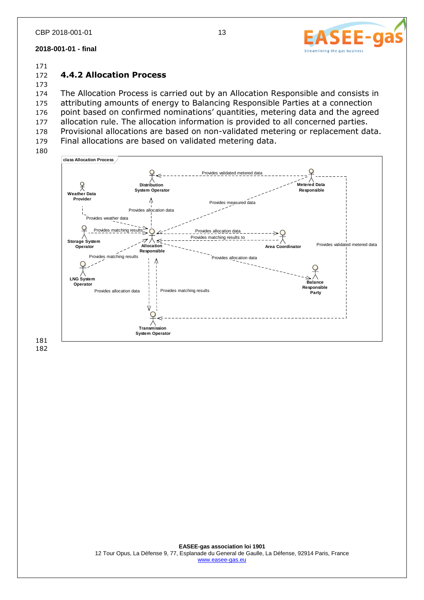

173

## 172 **4.4.2 Allocation Process**

 The Allocation Process is carried out by an Allocation Responsible and consists in attributing amounts of energy to Balancing Responsible Parties at a connection point based on confirmed nominations' quantities, metering data and the agreed allocation rule. The allocation information is provided to all concerned parties. Provisional allocations are based on non-validated metering or replacement data. Final allocations are based on validated metering data.



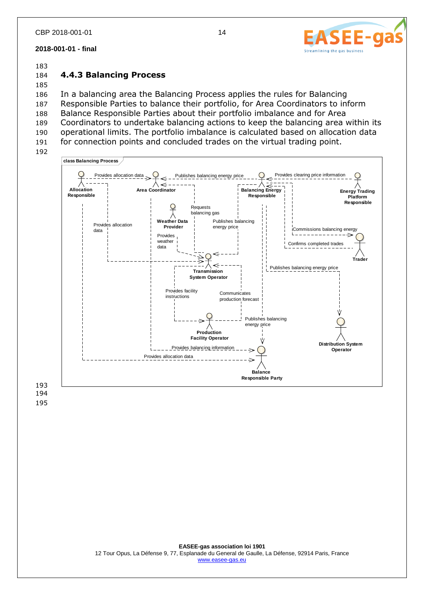

## 184 **4.4.3 Balancing Process**

185 In a balancing area the Balancing Process applies the rules for Balancing Responsible Parties to balance their portfolio, for Area Coordinators to inform Balance Responsible Parties about their portfolio imbalance and for Area Coordinators to undertake balancing actions to keep the balancing area within its operational limits. The portfolio imbalance is calculated based on allocation data for connection points and concluded trades on the virtual trading point. 192



194 195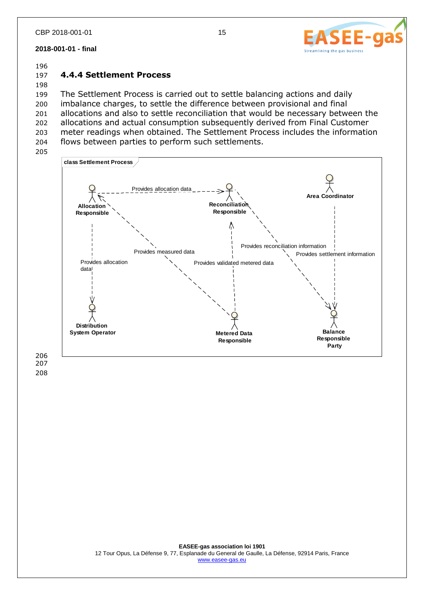

#### 196

## 197 **4.4.4 Settlement Process**

198 The Settlement Process is carried out to settle balancing actions and daily imbalance charges, to settle the difference between provisional and final allocations and also to settle reconciliation that would be necessary between the allocations and actual consumption subsequently derived from Final Customer meter readings when obtained. The Settlement Process includes the information flows between parties to perform such settlements.